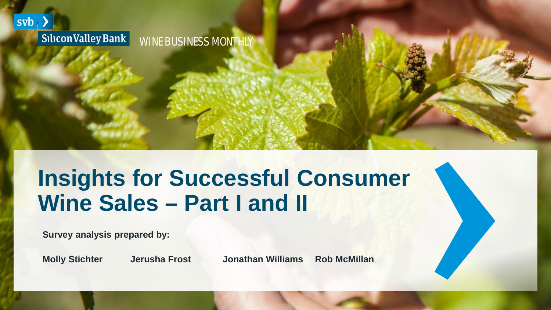

Silicon Valley Bank WINE BUSINESS MONTHLY

# **Insights for Successful Consumer Wine Sales – Part I and II**

**Survey analysis prepared by:**

**Molly Stichter Jerusha Frost Jonathan Williams Rob McMillan**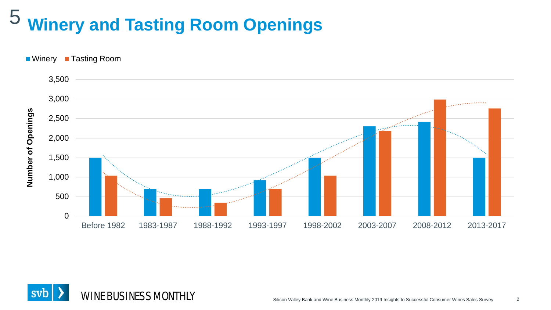#### **Winery and Tasting Room Openings** 5



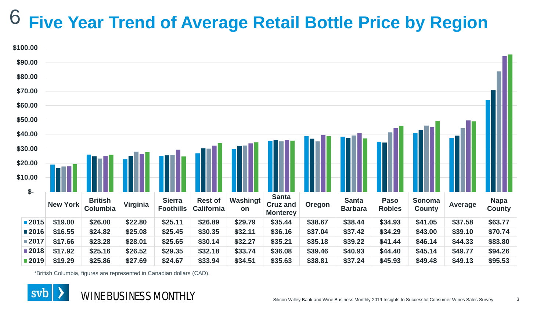#### **Five Year Trend of Average Retail Bottle Price by Region** 6



\*British Columbia, figures are represented in Canadian dollars (CAD).

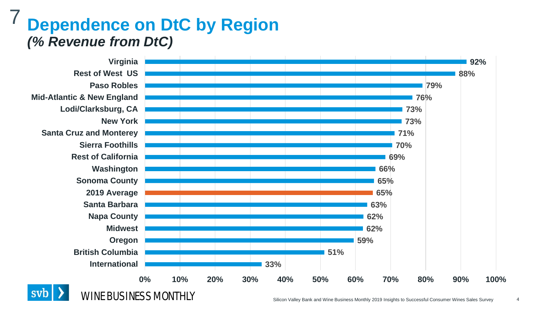### **Dependence on DtC by Region**  *(% Revenue from DtC)* 7



Silicon Valley Bank and Wine Business Monthly 2019 Insights to Successful Consumer Wines Sales Survey

4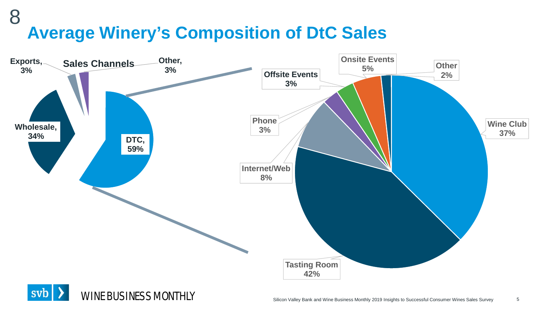### **Average Winery's Composition of DtC Sales** 8



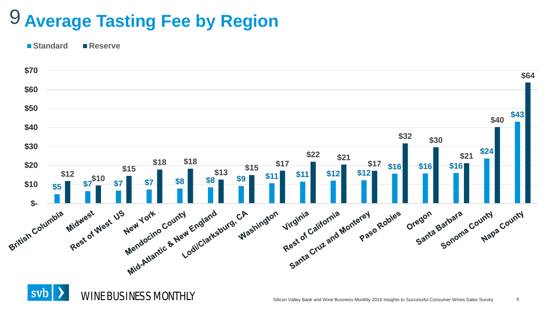# **Average Tasting Fee by Region** 9

**Standard Reserve**



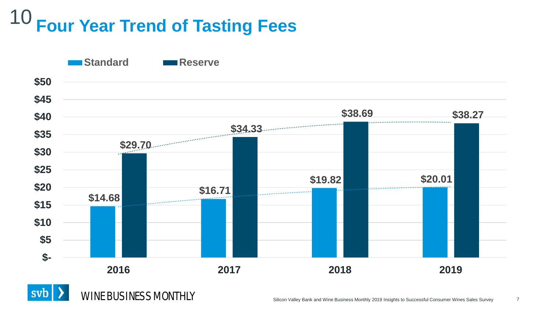### **Four Year Trend of Tasting Fees** 10



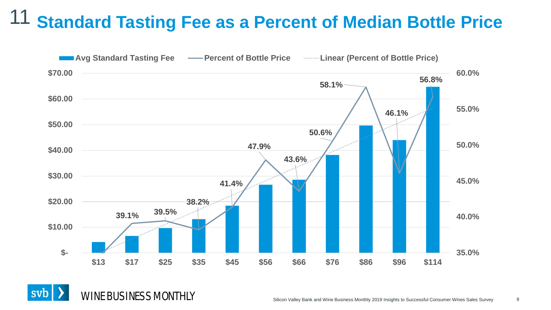#### **Standard Tasting Fee as a Percent of Median Bottle Price** 11

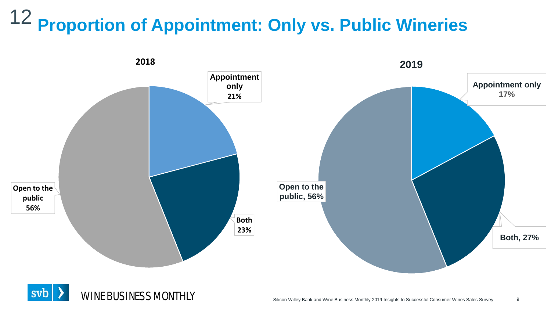### **Proportion of Appointment: Only vs. Public Wineries** 12



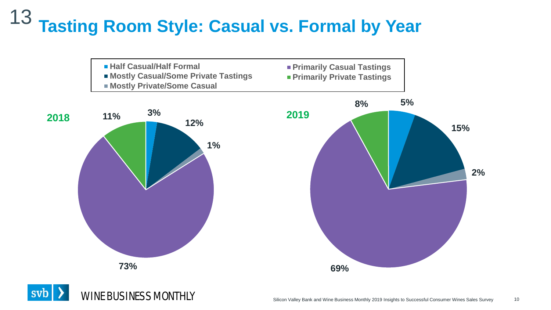### **Tasting Room Style: Casual vs. Formal by Year** 13



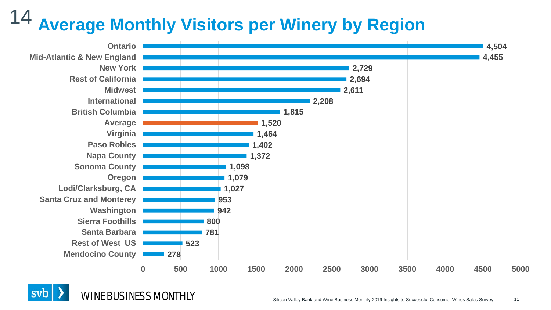### **Average Monthly Visitors per Winery by Region** 14



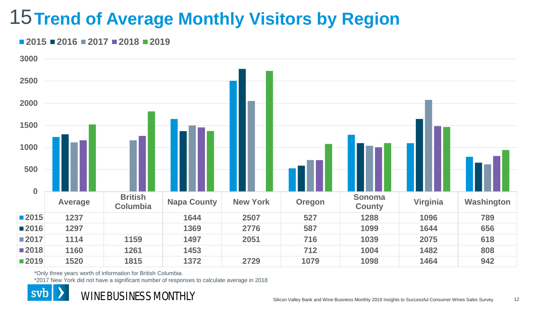## **15 Trend of Average Monthly Visitors by Region**

#### **2016 2017 2018 2019**



\*Only three years worth of information for British Columbia.

\*2017 New York did not have a significant number of responses to calculate average in 2018



WINE BUSINESS MONTHLY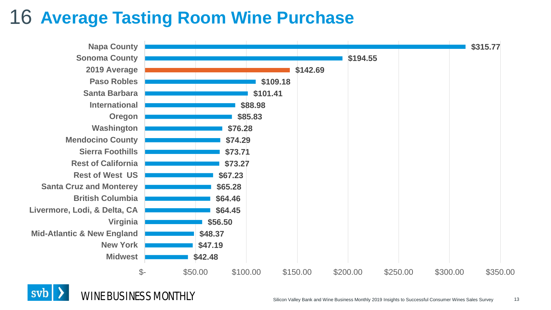### **Average Tasting Room Wine Purchase** 16





WINE BUSINESS MONTHLY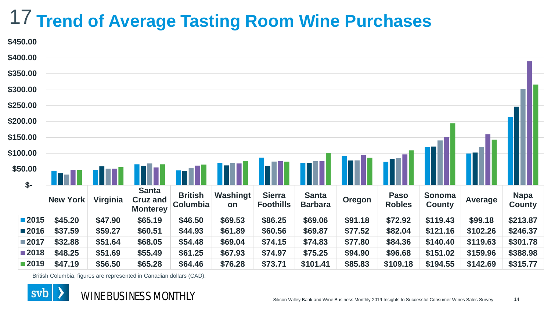# **Trend of Average Tasting Room Wine Purchases** 17

| <b>DU.003</b> |                 |          |                                                    |                            |                |                                   |                                |               |                              |                         |                |                              |
|---------------|-----------------|----------|----------------------------------------------------|----------------------------|----------------|-----------------------------------|--------------------------------|---------------|------------------------------|-------------------------|----------------|------------------------------|
| \$400.00      |                 |          |                                                    |                            |                |                                   |                                |               |                              |                         |                |                              |
| \$350.00      |                 |          |                                                    |                            |                |                                   |                                |               |                              |                         |                |                              |
| \$300.00      |                 |          |                                                    |                            |                |                                   |                                |               |                              |                         |                |                              |
| \$250.00      |                 |          |                                                    |                            |                |                                   |                                |               |                              |                         |                |                              |
| \$200.00      |                 |          |                                                    |                            |                |                                   |                                |               |                              |                         |                |                              |
| \$150.00      |                 |          |                                                    |                            |                |                                   |                                |               |                              |                         |                |                              |
| \$100.00      |                 |          |                                                    |                            |                |                                   |                                |               |                              |                         |                |                              |
| \$50.00       |                 |          |                                                    |                            |                |                                   |                                |               |                              |                         |                |                              |
| $$-$          |                 |          |                                                    |                            |                |                                   |                                |               |                              |                         |                |                              |
|               | <b>New York</b> | Virginia | <b>Santa</b><br><b>Cruz and</b><br><b>Monterey</b> | <b>British</b><br>Columbia | Washingt<br>on | <b>Sierra</b><br><b>Foothills</b> | <b>Santa</b><br><b>Barbara</b> | <b>Oregon</b> | <b>Paso</b><br><b>Robles</b> | Sonoma<br><b>County</b> | <b>Average</b> | <b>Napa</b><br><b>County</b> |
| ■2015         | \$45.20         | \$47.90  | \$65.19                                            | \$46.50                    | \$69.53        | \$86.25                           | \$69.06                        | \$91.18       | \$72.92                      | \$119.43                | \$99.18        | \$213.87                     |
| ■2016         | \$37.59         | \$59.27  | \$60.51                                            | \$44.93                    | \$61.89        | \$60.56                           | \$69.87                        | \$77.52       | \$82.04                      | \$121.16                | \$102.26       | \$246.37                     |
| ■2017         | \$32.88         | \$51.64  | \$68.05                                            | \$54.48                    | \$69.04        | \$74.15                           | \$74.83                        | \$77.80       | \$84.36                      | \$140.40                | \$119.63       | \$301.78                     |
| ■2018         | \$48.25         | \$51.69  | \$55.49                                            | \$61.25                    | \$67.93        | \$74.97                           | \$75.25                        | \$94.90       | \$96.68                      | \$151.02                | \$159.96       | \$388.98                     |
| ■2019         | \$47.19         | \$56.50  | \$65.28                                            | \$64.46                    | \$76.28        | \$73.71                           | \$101.41                       | \$85.83       | \$109.18                     | \$194.55                | \$142.69       | \$315.77                     |
|               |                 |          |                                                    |                            |                |                                   |                                |               |                              |                         |                |                              |

British Columbia, figures are represented in Canadian dollars (CAD).



 $\overline{AB}$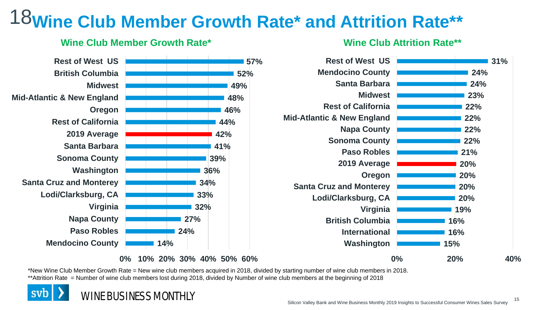# **Wine Club Member Growth Rate\* and Attrition Rate\*\*** 18



#### **Wine Club Attrition Rate\*\***



\*New Wine Club Member Growth Rate = New wine club members acquired in 2018, divided by starting number of wine club members in 2018. \*\*Attrition Rate = Number of wine club members lost during 2018, divided by Number of wine club members at the beginning of 2018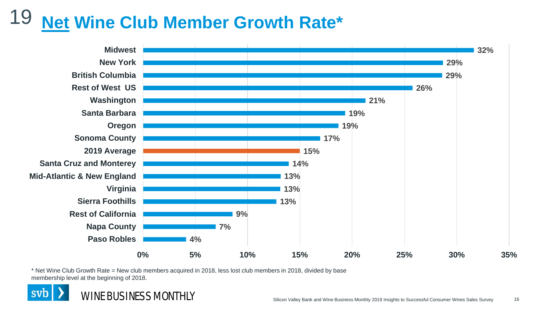#### **Net Wine Club Member Growth Rate\*** 19



\* Net Wine Club Growth Rate = New club members acquired in 2018, less lost club members in 2018, divided by base membership level at the beginning of 2018.

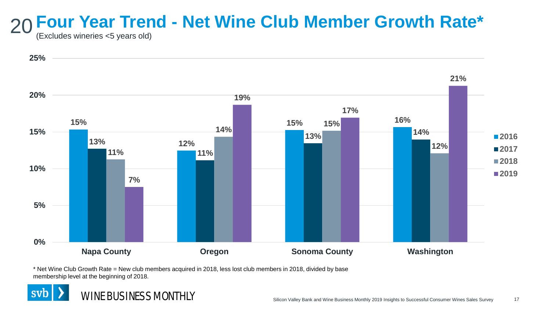# 20 Four Year Trend - Net Wine Club Member Growth Rate\*<br>20 *(Excludes wineries <5 vears old)*

(Excludes wineries <5 years old)



\* Net Wine Club Growth Rate = New club members acquired in 2018, less lost club members in 2018, divided by base membership level at the beginning of 2018.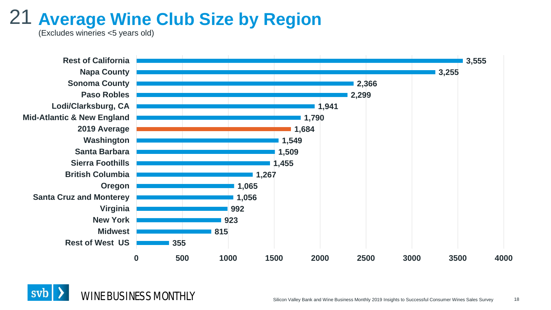## **Average Wine Club Size by Region** 21

(Excludes wineries <5 years old)



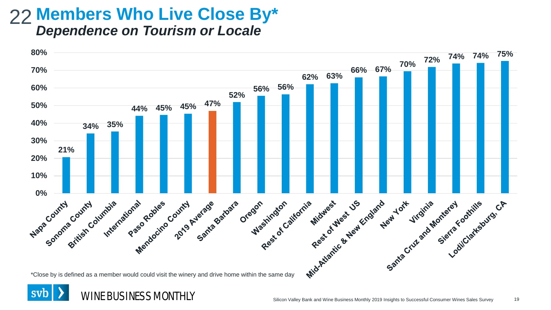### 22 Members Who Live Close By\* *Dependence on Tourism or Locale*



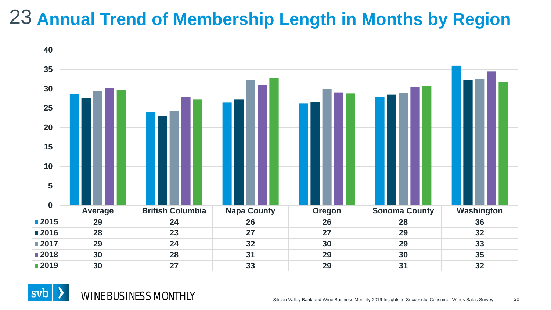## **Annual Trend of Membership Length in Months by Region**



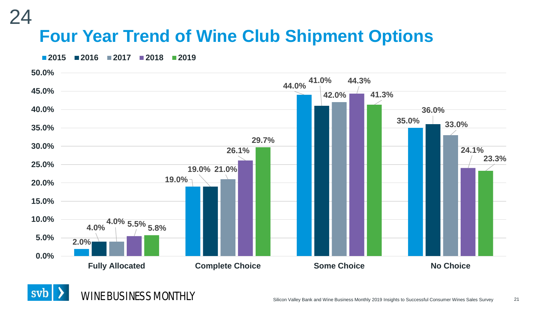### **Four Year Trend of Wine Club Shipment Options** 24

**2015 2016 2017 2018 2019**



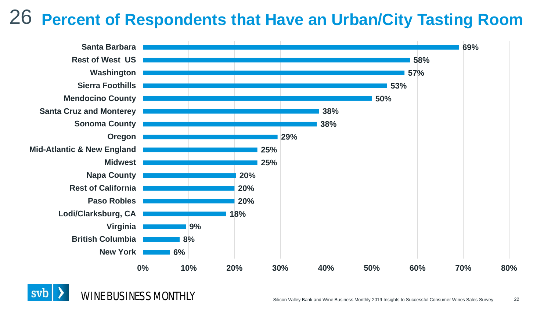## **Percent of Respondents that Have an Urban/City Tasting Room** 26



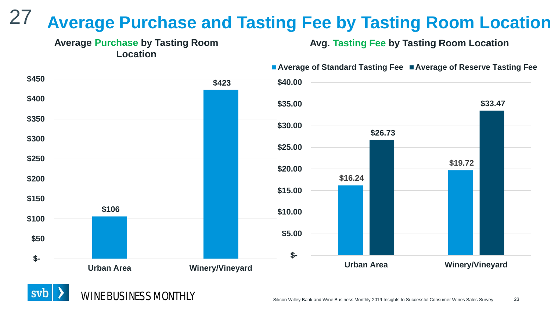### **Average Purchase and Tasting Fee by Tasting Room Location** 27



**Avg. Tasting Fee by Tasting Room Location**

■ Average of Standard Tasting Fee ■ Average of Reserve Tasting Fee